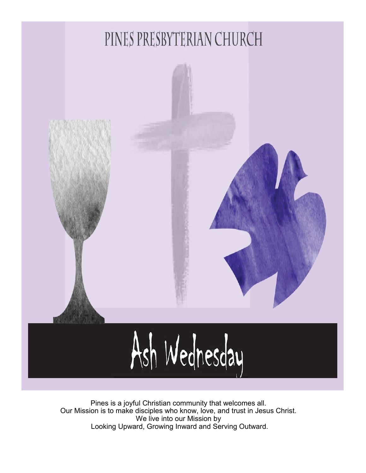

Pines is a joyful Christian community that welcomes all. Our Mission is to make disciples who know, love, and trust in Jesus Christ. We live into our Mission by Looking Upward, Growing Inward and Serving Outward.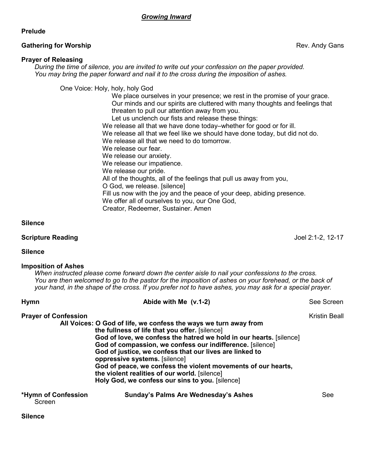## *Growing Inward*

### **Prelude**

### **Gathering for Worship Gathering for Worship Rev. Andy Gans**

## **Prayer of Releasing**

*During the time of silence, you are invited to write out your confession on the paper provided. You may bring the paper forward and nail it to the cross during the imposition of ashes.*

One Voice: Holy, holy, holy God

 We place ourselves in your presence; we rest in the promise of your grace. Our minds and our spirits are cluttered with many thoughts and feelings that threaten to pull our attention away from you.

 Let us unclench our fists and release these things: We release all that we have done today–whether for good or for ill.

We release all that we feel like we should have done today, but did not do.

We release all that we need to do tomorrow.

We release our fear.

We release our anxiety.

We release our impatience.

We release our pride.

All of the thoughts, all of the feelings that pull us away from you,

O God, we release. [silence]

Fill us now with the joy and the peace of your deep, abiding presence.

We offer all of ourselves to you, our One God,

Creator, Redeemer, Sustainer. Amen

## **Silence**

## **Scripture Reading** Joel 2:1-2, 12-17

## **Silence**

## **Imposition of Ashes**

*When instructed please come forward down the center aisle to nail your confessions to the cross. You are then welcomed to go to the pastor for the imposition of ashes on your forehead, or the back of your hand, in the shape of the cross. If you prefer not to have ashes, you may ask for a special prayer.*

| <b>Hymn</b>                   | Abide with Me (v.1-2)                                                                                                                                                                                                                                                                                                                                                                                                                                                                                                   | See Screen    |
|-------------------------------|-------------------------------------------------------------------------------------------------------------------------------------------------------------------------------------------------------------------------------------------------------------------------------------------------------------------------------------------------------------------------------------------------------------------------------------------------------------------------------------------------------------------------|---------------|
| <b>Prayer of Confession</b>   | All Voices: O God of life, we confess the ways we turn away from<br>the fullness of life that you offer. [silence]<br>God of love, we confess the hatred we hold in our hearts. [silence]<br>God of compassion, we confess our indifference. [silence]<br>God of justice, we confess that our lives are linked to<br>oppressive systems. [silence]<br>God of peace, we confess the violent movements of our hearts,<br>the violent realities of our world. [silence]<br>Holy God, we confess our sins to you. [silence] | Kristin Beall |
| *Hymn of Confession<br>Screen | Sunday's Palms Are Wednesday's Ashes                                                                                                                                                                                                                                                                                                                                                                                                                                                                                    | See           |

#### **Silence**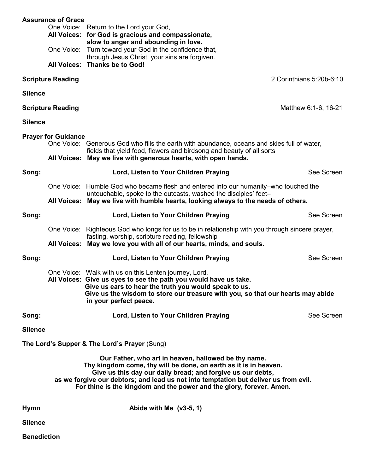|                                              | <b>Assurance of Grace</b>                                                                                                                                                                                                                                                                                                                               | One Voice: Return to the Lord your God,<br>All Voices: for God is gracious and compassionate,<br>slow to anger and abounding in love.<br>One Voice: Turn toward your God in the confidence that,<br>through Jesus Christ, your sins are forgiven.<br>All Voices: Thanks be to God!              |            |  |
|----------------------------------------------|---------------------------------------------------------------------------------------------------------------------------------------------------------------------------------------------------------------------------------------------------------------------------------------------------------------------------------------------------------|-------------------------------------------------------------------------------------------------------------------------------------------------------------------------------------------------------------------------------------------------------------------------------------------------|------------|--|
|                                              | <b>Scripture Reading</b>                                                                                                                                                                                                                                                                                                                                | 2 Corinthians 5:20b-6:10                                                                                                                                                                                                                                                                        |            |  |
| <b>Silence</b>                               |                                                                                                                                                                                                                                                                                                                                                         |                                                                                                                                                                                                                                                                                                 |            |  |
|                                              | <b>Scripture Reading</b>                                                                                                                                                                                                                                                                                                                                | Matthew 6:1-6, 16-21                                                                                                                                                                                                                                                                            |            |  |
| <b>Silence</b>                               |                                                                                                                                                                                                                                                                                                                                                         |                                                                                                                                                                                                                                                                                                 |            |  |
|                                              | <b>Prayer for Guidance</b>                                                                                                                                                                                                                                                                                                                              | One Voice: Generous God who fills the earth with abundance, oceans and skies full of water,<br>fields that yield food, flowers and birdsong and beauty of all sorts                                                                                                                             |            |  |
|                                              |                                                                                                                                                                                                                                                                                                                                                         | All Voices: May we live with generous hearts, with open hands.                                                                                                                                                                                                                                  |            |  |
| Song:                                        |                                                                                                                                                                                                                                                                                                                                                         | Lord, Listen to Your Children Praying                                                                                                                                                                                                                                                           | See Screen |  |
|                                              |                                                                                                                                                                                                                                                                                                                                                         | One Voice: Humble God who became flesh and entered into our humanity–who touched the<br>untouchable, spoke to the outcasts, washed the disciples' feet-<br>All Voices: May we live with humble hearts, looking always to the needs of others.                                                   |            |  |
| Song:                                        |                                                                                                                                                                                                                                                                                                                                                         | Lord, Listen to Your Children Praying                                                                                                                                                                                                                                                           | See Screen |  |
|                                              |                                                                                                                                                                                                                                                                                                                                                         | One Voice: Righteous God who longs for us to be in relationship with you through sincere prayer,<br>fasting, worship, scripture reading, fellowship<br>All Voices: May we love you with all of our hearts, minds, and souls.                                                                    |            |  |
| Song:                                        |                                                                                                                                                                                                                                                                                                                                                         | Lord, Listen to Your Children Praying                                                                                                                                                                                                                                                           | See Screen |  |
|                                              |                                                                                                                                                                                                                                                                                                                                                         | One Voice: Walk with us on this Lenten journey, Lord.<br>All Voices: Give us eyes to see the path you would have us take.<br>Give us ears to hear the truth you would speak to us.<br>Give us the wisdom to store our treasure with you, so that our hearts may abide<br>in your perfect peace. |            |  |
| Song:                                        |                                                                                                                                                                                                                                                                                                                                                         | Lord, Listen to Your Children Praying                                                                                                                                                                                                                                                           | See Screen |  |
| <b>Silence</b>                               |                                                                                                                                                                                                                                                                                                                                                         |                                                                                                                                                                                                                                                                                                 |            |  |
| The Lord's Supper & The Lord's Prayer (Sung) |                                                                                                                                                                                                                                                                                                                                                         |                                                                                                                                                                                                                                                                                                 |            |  |
|                                              | Our Father, who art in heaven, hallowed be thy name.<br>Thy kingdom come, thy will be done, on earth as it is in heaven.<br>Give us this day our daily bread; and forgive us our debts,<br>as we forgive our debtors; and lead us not into temptation but deliver us from evil.<br>For thine is the kingdom and the power and the glory, forever. Amen. |                                                                                                                                                                                                                                                                                                 |            |  |
| <b>Hymn</b>                                  |                                                                                                                                                                                                                                                                                                                                                         | Abide with Me $(v3-5, 1)$                                                                                                                                                                                                                                                                       |            |  |
| <b>Silence</b>                               |                                                                                                                                                                                                                                                                                                                                                         |                                                                                                                                                                                                                                                                                                 |            |  |
| <b>Benediction</b>                           |                                                                                                                                                                                                                                                                                                                                                         |                                                                                                                                                                                                                                                                                                 |            |  |